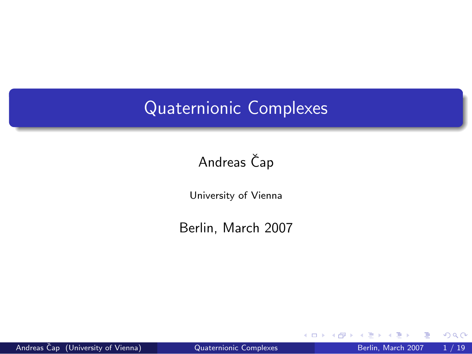# Quaternionic Complexes

# Andreas Čap

University of Vienna

Berlin, March 2007

Andreas Čap (University of Vienna) <sup>2</sup> [Quaternionic Complexes](#page-50-0) Berlin, March 2007 1/19

4 0 8

<span id="page-0-0"></span>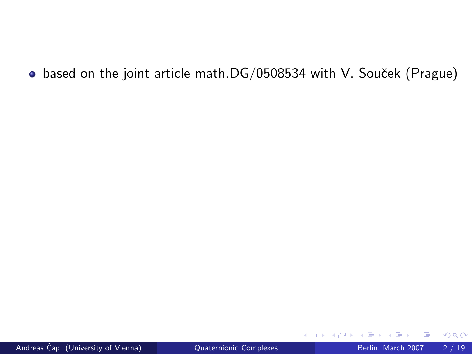• based on the joint article math.DG/0508534 with V. Souček (Prague)

4 0 8

э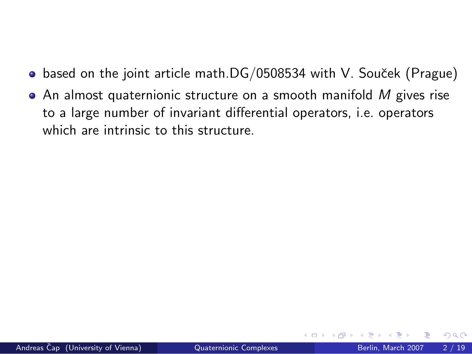- $\bullet$  based on the joint article math.DG/0508534 with V. Souček (Prague)
- $\bullet$  An almost quaternionic structure on a smooth manifold M gives rise to a large number of invariant differential operators, i.e. operators which are intrinsic to this structure.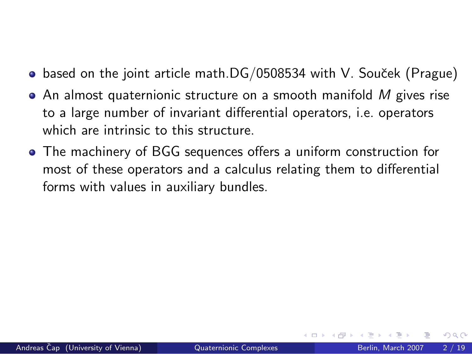- $\bullet$  based on the joint article math.DG/0508534 with V. Souček (Prague)
- $\bullet$  An almost quaternionic structure on a smooth manifold  $M$  gives rise to a large number of invariant differential operators, i.e. operators which are intrinsic to this structure.
- The machinery of BGG sequences offers a uniform construction for most of these operators and a calculus relating them to differential forms with values in auxiliary bundles.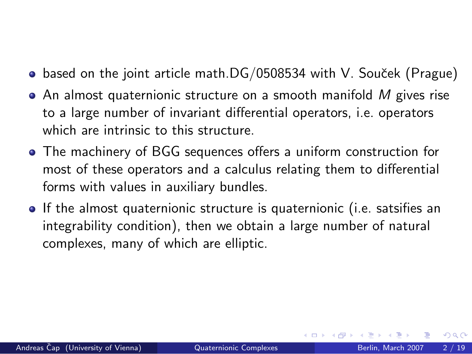- $\bullet$  based on the joint article math.DG/0508534 with V. Souček (Prague)
- $\bullet$  An almost quaternionic structure on a smooth manifold M gives rise to a large number of invariant differential operators, i.e. operators which are intrinsic to this structure.
- The machinery of BGG sequences offers a uniform construction for most of these operators and a calculus relating them to differential forms with values in auxiliary bundles.
- If the almost quaternionic structure is quaternionic (i.e. satsifies an integrability condition), then we obtain a large number of natural complexes, many of which are elliptic.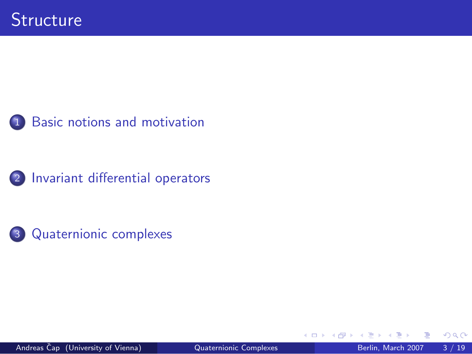





4 0 8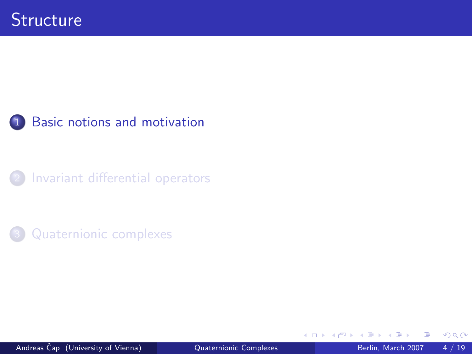

[Invariant differential operators](#page-18-0)



<span id="page-6-0"></span>4 0 8  $\mathcal{A}$  $\rightarrow$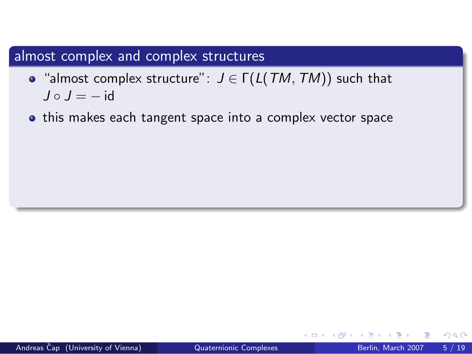- "almost complex structure":  $J \in \Gamma(L(TM, TM))$  such that  $J \circ J = -id$
- this makes each tangent space into a complex vector space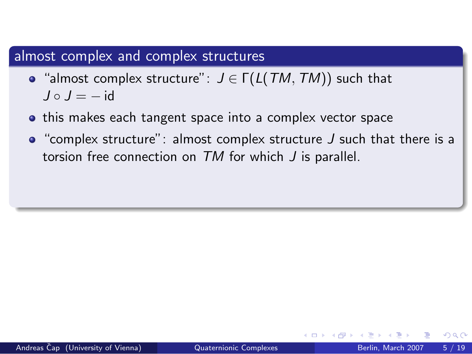- "almost complex structure":  $J \in \Gamma(L(TM, TM))$  such that  $J \circ J = -id$
- **•** this makes each tangent space into a complex vector space
- $\bullet$  "complex structure": almost complex structure J such that there is a torsion free connection on TM for which J is parallel.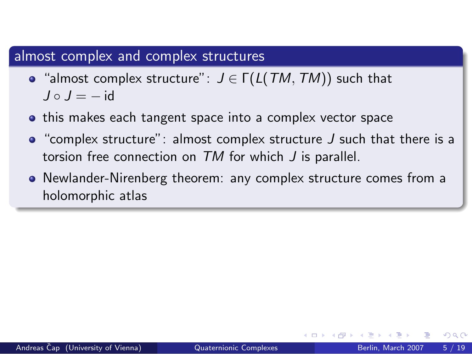- "almost complex structure":  $J \in \Gamma(L(TM, TM))$  such that  $J \circ J = -id$
- **•** this makes each tangent space into a complex vector space
- $\bullet$  "complex structure": almost complex structure J such that there is a torsion free connection on TM for which J is parallel.
- Newlander-Nirenberg theorem: any complex structure comes from a holomorphic atlas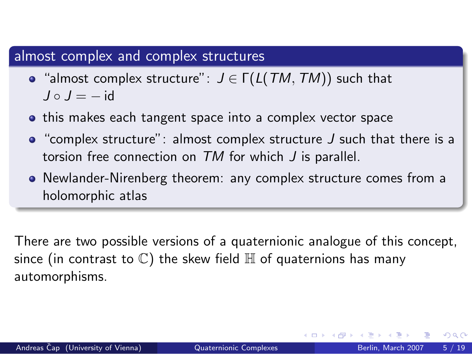- "almost complex structure":  $J \in \Gamma(L(TM, TM))$  such that  $J \circ J = -id$
- **•** this makes each tangent space into a complex vector space
- $\bullet$  "complex structure": almost complex structure J such that there is a torsion free connection on TM for which J is parallel.
- Newlander-Nirenberg theorem: any complex structure comes from a holomorphic atlas

There are two possible versions of a quaternionic analogue of this concept, since (in contrast to  $\mathbb C$ ) the skew field  $\mathbb H$  of quaternions has many automorphisms.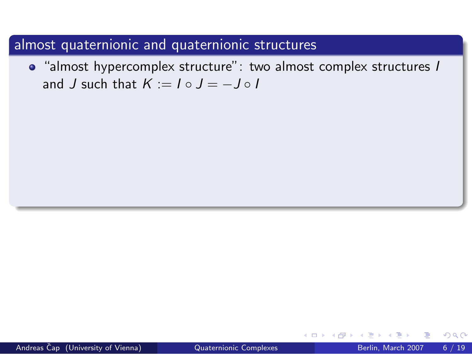• "almost hypercomplex structure": two almost complex structures I and J such that  $K := I \circ J = -J \circ I$ 

4 D F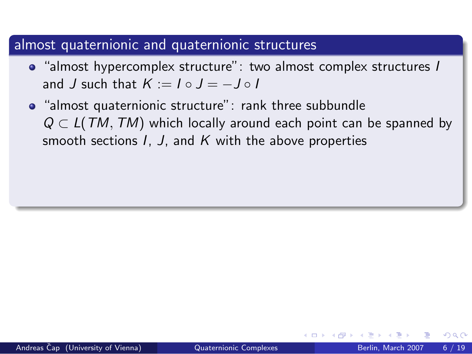- "almost hypercomplex structure": two almost complex structures I and J such that  $K := I \circ J = -J \circ I$
- "almost quaternionic structure": rank three subbundle  $Q \subset L(TM, TM)$  which locally around each point can be spanned by smooth sections  $I, J$ , and  $K$  with the above properties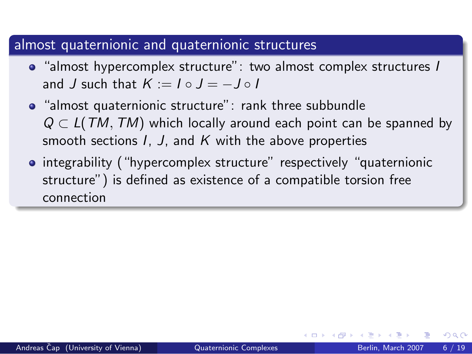- "almost hypercomplex structure": two almost complex structures I and J such that  $K := I \circ J = -J \circ I$
- "almost quaternionic structure": rank three subbundle  $Q \subset L(TM, TM)$  which locally around each point can be spanned by smooth sections  $I, J$ , and  $K$  with the above properties
- integrability ("hypercomplex structure" respectively "quaternionic structure") is defined as existence of a compatible torsion free connection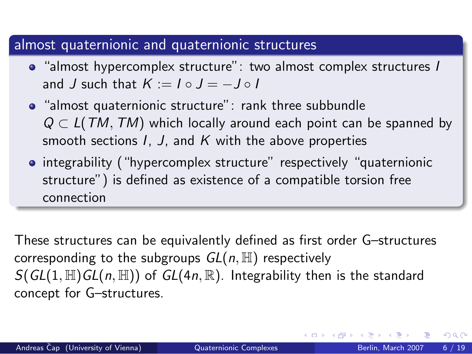- "almost hypercomplex structure": two almost complex structures I and J such that  $K := I \circ J = -J \circ I$
- "almost quaternionic structure": rank three subbundle  $Q \subset L(TM, TM)$  which locally around each point can be spanned by smooth sections  $I, J$ , and  $K$  with the above properties
- integrability ("hypercomplex structure" respectively "quaternionic structure") is defined as existence of a compatible torsion free connection

These structures can be equivalently defined as first order G–structures corresponding to the subgroups  $GL(n, \mathbb{H})$  respectively  $S(GL(1, \mathbb{H})GL(n, \mathbb{H}))$  of  $GL(4n, \mathbb{R})$ . Integrability then is the standard concept for G–structures.

 $\Omega$ 

正々 メラメ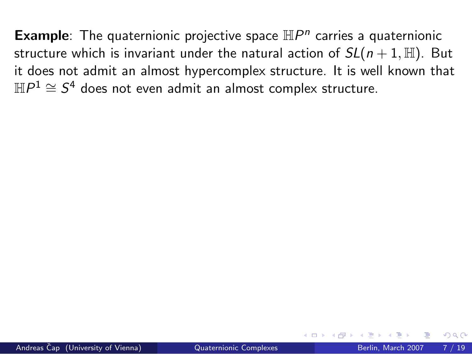**Example**: The quaternionic projective space  $\mathbb{H}P^n$  carries a quaternionic structure which is invariant under the natural action of  $SL(n+1, \mathbb{H})$ . But it does not admit an almost hypercomplex structure. It is well known that  $\mathbb{H}P^1\cong \mathcal{S}^4$  does not even admit an almost complex structure.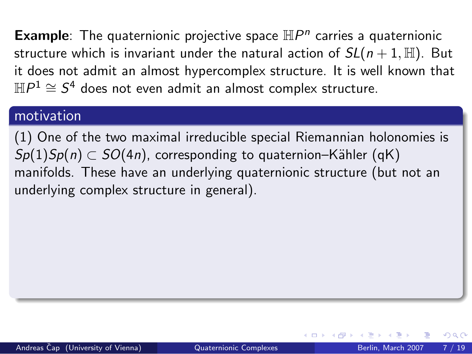**Example**: The quaternionic projective space  $\mathbb{H}P^n$  carries a quaternionic structure which is invariant under the natural action of  $SL(n+1, \mathbb{H})$ . But it does not admit an almost hypercomplex structure. It is well known that  $\mathbb{H}P^1\cong \mathcal{S}^4$  does not even admit an almost complex structure.

#### motivation

(1) One of the two maximal irreducible special Riemannian holonomies is  $Sp(1)Sp(n) \subset SO(4n)$ , corresponding to quaternion–Kähler (qK) manifolds. These have an underlying quaternionic structure (but not an underlying complex structure in general).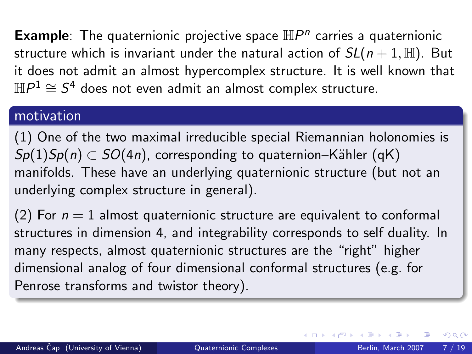**Example**: The quaternionic projective space  $\mathbb{H}P^n$  carries a quaternionic structure which is invariant under the natural action of  $SL(n+1, \mathbb{H})$ . But it does not admit an almost hypercomplex structure. It is well known that  $\mathbb{H}P^1\cong \mathcal{S}^4$  does not even admit an almost complex structure.

#### motivation

(1) One of the two maximal irreducible special Riemannian holonomies is  $Sp(1)Sp(n) \subset SO(4n)$ , corresponding to quaternion–Kähler (qK) manifolds. These have an underlying quaternionic structure (but not an underlying complex structure in general).

(2) For  $n = 1$  almost quaternionic structure are equivalent to conformal structures in dimension 4, and integrability corresponds to self duality. In many respects, almost quaternionic structures are the "right" higher dimensional analog of four dimensional conformal structures (e.g. for Penrose transforms and twistor theory).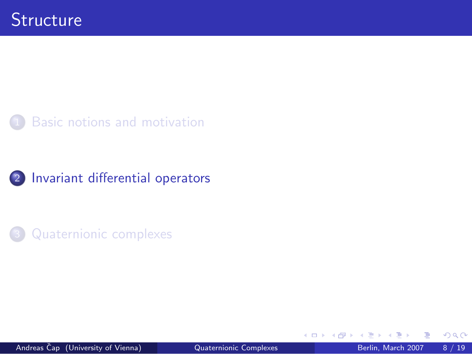





4 0 8

<span id="page-18-0"></span> $\rightarrow$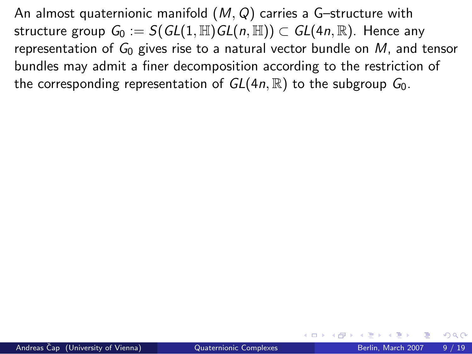An almost quaternionic manifold  $(M, Q)$  carries a G-structure with structure group  $G_0 := S(GL(1, \mathbb{H})GL(n, \mathbb{H})) \subset GL(4n, \mathbb{R})$ . Hence any representation of  $G_0$  gives rise to a natural vector bundle on M, and tensor bundles may admit a finer decomposition according to the restriction of the corresponding representation of  $GL(4n,\mathbb{R})$  to the subgroup  $G_0$ .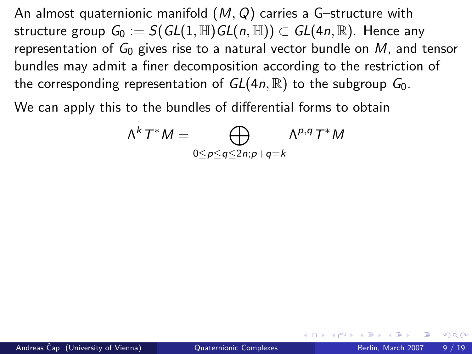An almost quaternionic manifold  $(M, Q)$  carries a G-structure with structure group  $G_0 := S(GL(1, \mathbb{H})GL(n, \mathbb{H})) \subset GL(4n, \mathbb{R})$ . Hence any representation of  $G_0$  gives rise to a natural vector bundle on M, and tensor bundles may admit a finer decomposition according to the restriction of the corresponding representation of  $GL(4n,\mathbb{R})$  to the subgroup  $G_0$ .

We can apply this to the bundles of differential forms to obtain

$$
\Lambda^k T^* M = \bigoplus_{0 \le p \le q \le 2n; p+q=k} \Lambda^{p,q} T^* M
$$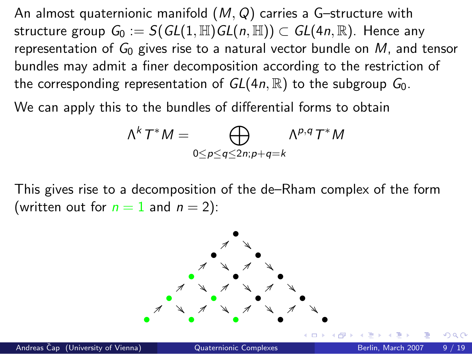An almost quaternionic manifold  $(M, Q)$  carries a G-structure with structure group  $G_0 := S(GL(1, \mathbb{H})GL(n, \mathbb{H})) \subset GL(4n, \mathbb{R})$ . Hence any representation of  $G_0$  gives rise to a natural vector bundle on M, and tensor bundles may admit a finer decomposition according to the restriction of the corresponding representation of  $GL(4n,\mathbb{R})$  to the subgroup  $G_0$ .

We can apply this to the bundles of differential forms to obtain

$$
\Lambda^k T^* M = \bigoplus_{0 \le p \le q \le 2n; p+q=k} \Lambda^{p,q} T^* M
$$

This gives rise to a decomposition of the de–Rham complex of the form (written out for  $n = 1$  and  $n = 2$ ):

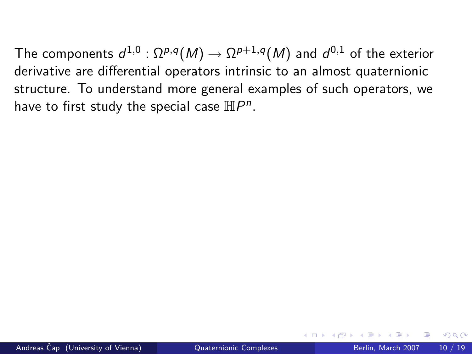The components  $d^{1,0}:\Omega^{p,q}(M)\to\Omega^{p+1,q}(M)$  and  $d^{0,1}$  of the exterior derivative are differential operators intrinsic to an almost quaternionic structure. To understand more general examples of such operators, we have to first study the special case  $\mathbb{H}P^n$ .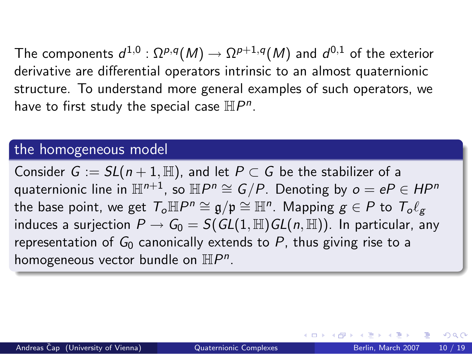The components  $d^{1,0}:\Omega^{p,q}(M)\to\Omega^{p+1,q}(M)$  and  $d^{0,1}$  of the exterior derivative are differential operators intrinsic to an almost quaternionic structure. To understand more general examples of such operators, we have to first study the special case  $\mathbb{H}P^n$ .

#### the homogeneous model

Consider  $G := SL(n+1, \mathbb{H})$ , and let  $P \subset G$  be the stabilizer of a quaternionic line in  $\mathbb{H}^{n+1}$ , so  $\mathbb{H}P^n\cong G/P.$  Denoting by  $o=eP\in HP^n$ the base point, we get  $\mathcal{T}_o \mathbb{H} P^n \cong \mathfrak{g}/\mathfrak{p} \cong \mathbb{H}^n$ . Mapping  $g \in P$  to  $\mathcal{T}_o \ell_g$ induces a surjection  $P \to G_0 = S(GL(1, \mathbb{H})GL(n, \mathbb{H}))$ . In particular, any representation of  $G_0$  canonically extends to P, thus giving rise to a homogeneous vector bundle on  $\mathbb{H}P^n$ .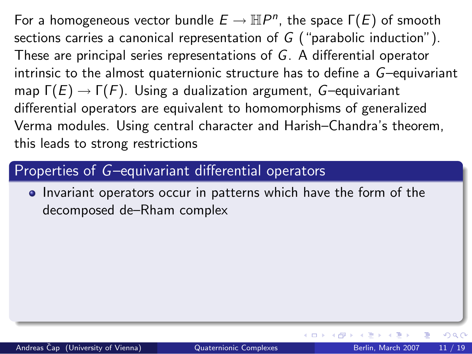## Properties of G–equivariant differential operators

**I** Invariant operators occur in patterns which have the form of the decomposed de–Rham complex

◂<del>◻</del>▸ ◂<del>⁄</del> ▸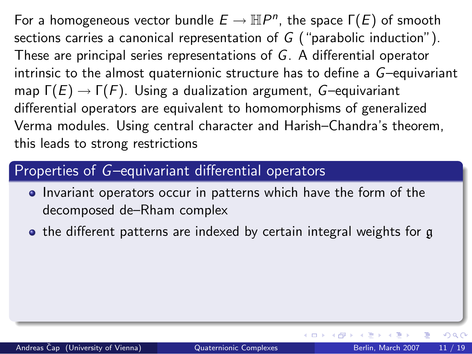# Properties of G–equivariant differential operators

- **I** Invariant operators occur in patterns which have the form of the decomposed de–Rham complex
- the different patterns are indexed by certain integral weights for g

◂<del>◻</del>▸ ◂<del>⁄</del> ▸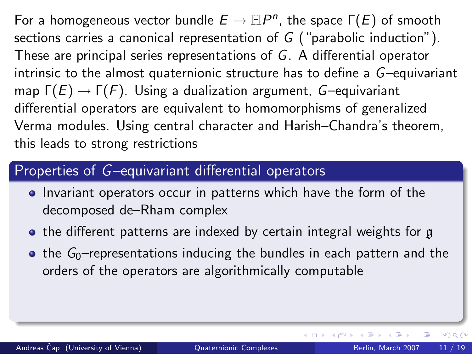# Properties of G–equivariant differential operators

- **I** Invariant operators occur in patterns which have the form of the decomposed de–Rham complex
- the different patterns are indexed by certain integral weights for g
- $\bullet$  the  $G_0$ -representations inducing the bundles in each pattern and the orders of the operators are algorithmically computable

ほん マミト

**∢ ロ ▶ - ィ 何 ▶ - ィ**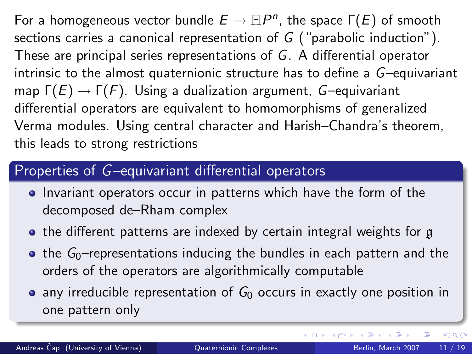# Properties of G–equivariant differential operators

- **I** Invariant operators occur in patterns which have the form of the decomposed de–Rham complex
- the different patterns are indexed by certain integral weights for g
- $\bullet$  the  $G_0$ –representations inducing the bundles in each pattern and the orders of the operators are algorithmically computable
- any irreducible representation of  $G_0$  occurs in exactly one position in one pattern only

ほん マミト

**4 ロ ▶ 4 母 ▶ 4**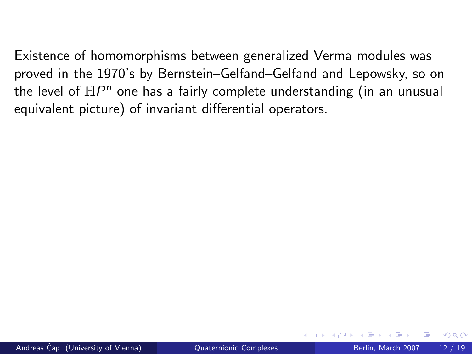Existence of homomorphisms between generalized Verma modules was proved in the 1970's by Bernstein–Gelfand–Gelfand and Lepowsky, so on the level of  $\mathbb{H}P^n$  one has a fairly complete understanding (in an unusual equivalent picture) of invariant differential operators.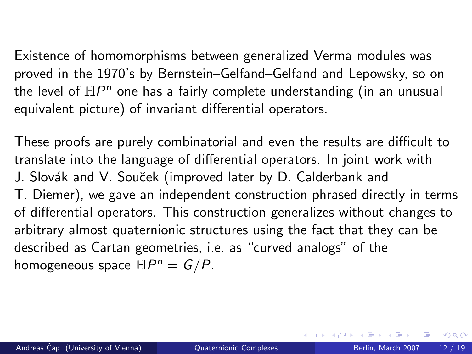Existence of homomorphisms between generalized Verma modules was proved in the 1970's by Bernstein–Gelfand–Gelfand and Lepowsky, so on the level of  $\mathbb{H}P^n$  one has a fairly complete understanding (in an unusual equivalent picture) of invariant differential operators.

These proofs are purely combinatorial and even the results are difficult to translate into the language of differential operators. In joint work with J. Slovák and V. Souček (improved later by D. Calderbank and T. Diemer), we gave an independent construction phrased directly in terms of differential operators. This construction generalizes without changes to arbitrary almost quaternionic structures using the fact that they can be described as Cartan geometries, i.e. as "curved analogs" of the homogeneous space  $\mathbb{H}P^n=G/P$ .

 $QQQ$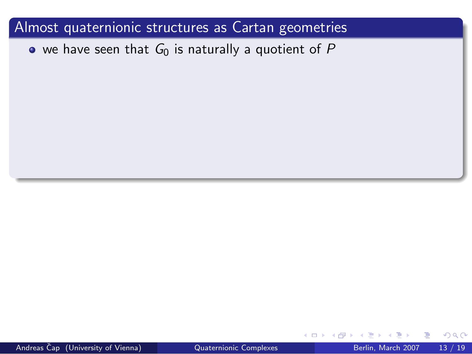$\bullet$  we have seen that  $G_0$  is naturally a quotient of P

 $\leftarrow$ 

Andreas Čap (University of Vienna) <sup>2</sup> [Quaternionic Complexes](#page-0-0) Berlin, March 2007 13 / 19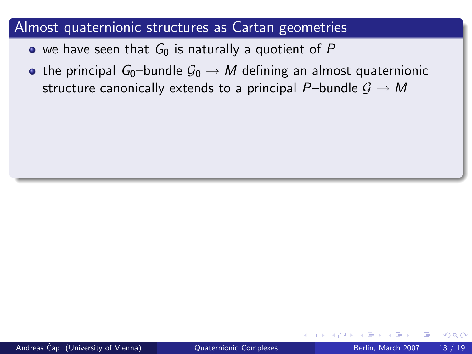- we have seen that  $G_0$  is naturally a quotient of P
- the principal G<sub>0</sub>–bundle  $\mathcal{G}_0 \rightarrow M$  defining an almost quaternionic structure canonically extends to a principal P–bundle  $\mathcal{G} \to M$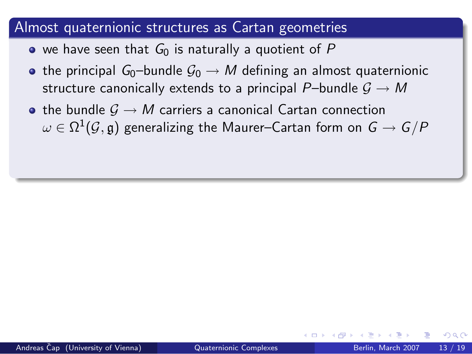- we have seen that  $G_0$  is naturally a quotient of P
- the principal  $G_0$ -bundle  $G_0 \rightarrow M$  defining an almost quaternionic structure canonically extends to a principal P–bundle  $\mathcal{G} \rightarrow M$
- the bundle  $G \rightarrow M$  carriers a canonical Cartan connection  $\omega \in \Omega^1(\mathcal{G},\mathfrak{g})$  generalizing the Maurer–Cartan form on  $\mathsf{G} \to \mathsf{G}/P$

つひひ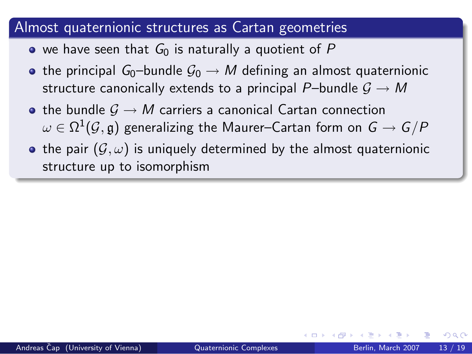- we have seen that  $G_0$  is naturally a quotient of P
- the principal  $G_0$ -bundle  $G_0 \rightarrow M$  defining an almost quaternionic structure canonically extends to a principal P–bundle  $G \rightarrow M$
- $\bullet$  the bundle  $\mathcal{G} \to M$  carriers a canonical Cartan connection  $\omega \in \Omega^1(\mathcal{G},\mathfrak{g})$  generalizing the Maurer–Cartan form on  $\mathsf{G} \to \mathsf{G}/P$
- the pair  $(\mathcal{G}, \omega)$  is uniquely determined by the almost quaternionic structure up to isomorphism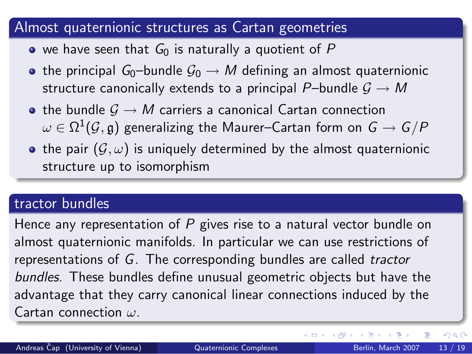- $\bullet$  we have seen that  $G_0$  is naturally a quotient of P
- the principal G<sub>0</sub>–bundle  $\mathcal{G}_0 \rightarrow M$  defining an almost quaternionic structure canonically extends to a principal P–bundle  $G \rightarrow M$
- the bundle  $G \rightarrow M$  carriers a canonical Cartan connection  $\omega \in \Omega^1(\mathcal{G},\mathfrak{g})$  generalizing the Maurer–Cartan form on  $\mathsf{G} \to \mathsf{G}/P$
- the pair  $(\mathcal{G}, \omega)$  is uniquely determined by the almost quaternionic structure up to isomorphism

## tractor bundles

Hence any representation of  $P$  gives rise to a natural vector bundle on almost quaternionic manifolds. In particular we can use restrictions of representations of G. The corresponding bundles are called tractor bundles. These bundles define unusual geometric objects but have the advantage that they carry canonical linear connections induced by the Cartan connection  $\omega$ .

ほん マミト

**∢ ロ ▶ - ィ 何 ▶ - ィ**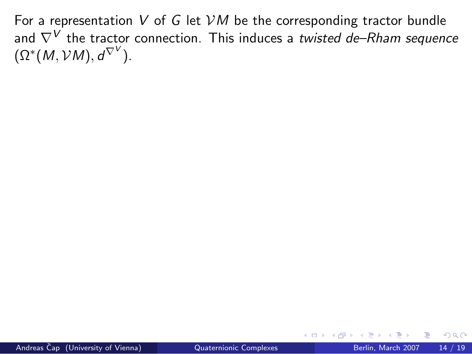For a representation V of G let  $VM$  be the corresponding tractor bundle and  $\nabla^V$  the tractor connection. This induces a twisted de–Rham sequence  $(\Omega^*(M, \mathcal{V}M), d^{\nabla^V}).$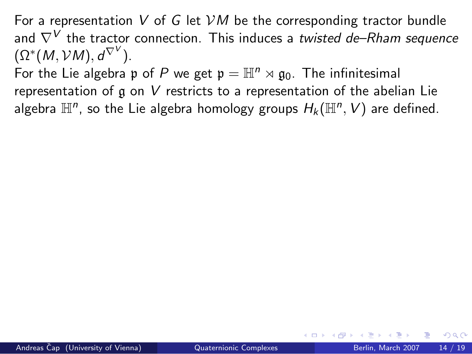For a representation V of G let  $VM$  be the corresponding tractor bundle and  $\nabla^V$  the tractor connection. This induces a twisted de–Rham sequence  $(\Omega^*(M, \mathcal{V}M), d^{\nabla^V}).$ 

For the Lie algebra p of P we get  $p = \mathbb{H}^n \rtimes q_0$ . The infinitesimal representation of g on V restricts to a representation of the abelian Lie algebra  $\mathbb{H}^n$ , so the Lie algebra homology groups  $H_k(\mathbb{H}^n, V)$  are defined.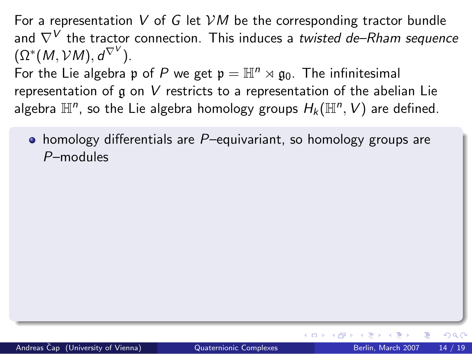For a representation V of G let  $VM$  be the corresponding tractor bundle and  $\nabla^V$  the tractor connection. This induces a twisted de–Rham sequence  $(\Omega^*(M, \mathcal{V}M), d^{\nabla^V}).$ 

For the Lie algebra p of P we get  $p = \mathbb{H}^n \rtimes q_0$ . The infinitesimal representation of g on V restricts to a representation of the abelian Lie algebra  $\mathbb{H}^n$ , so the Lie algebra homology groups  $H_k(\mathbb{H}^n, V)$  are defined.

 $\bullet$  homology differentials are P-equivariant, so homology groups are P–modules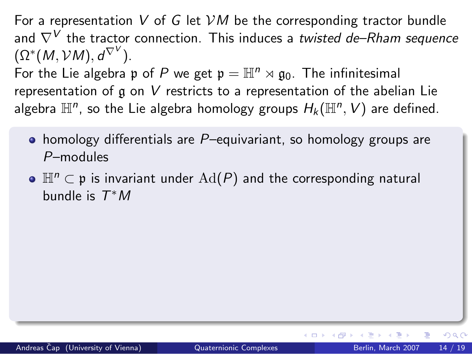For a representation V of G let  $VM$  be the corresponding tractor bundle and  $\nabla^V$  the tractor connection. This induces a twisted de–Rham sequence  $(\Omega^*(M, \mathcal{V}M), d^{\nabla^V}).$ For the Lie algebra p of P we get  $p = \mathbb{H}^n \rtimes q_0$ . The infinitesimal representation of g on V restricts to a representation of the abelian Lie algebra  $\mathbb{H}^n$ , so the Lie algebra homology groups  $H_k(\mathbb{H}^n, V)$  are defined.

- $\bullet$  homology differentials are P-equivariant, so homology groups are P–modules
- $\bullet$   $\mathbb{H}^n \subset \mathfrak{p}$  is invariant under  $\text{Ad}(P)$  and the corresponding natural bundle is  $T^*M$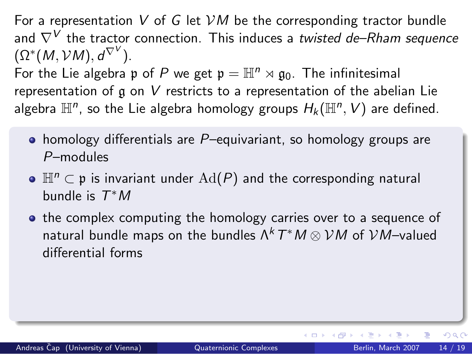For a representation V of G let  $VM$  be the corresponding tractor bundle and  $\nabla^V$  the tractor connection. This induces a twisted de–Rham sequence  $(\Omega^*(M, \mathcal{V}M), d^{\nabla^V}).$ For the Lie algebra p of P we get  $p = \mathbb{H}^n \rtimes q_0$ . The infinitesimal representation of  $\alpha$  on V restricts to a representation of the abelian Lie algebra  $\mathbb{H}^n$ , so the Lie algebra homology groups  $H_k(\mathbb{H}^n, V)$  are defined.

- $\bullet$  homology differentials are P-equivariant, so homology groups are P–modules
- $\bullet$   $\mathbb{H}^n \subset \mathfrak{p}$  is invariant under  $\text{Ad}(P)$  and the corresponding natural bundle is  $T^*M$
- the complex computing the homology carries over to a sequence of natural bundle maps on the bundles  $\Lambda^k\, T^\ast M \otimes \mathcal{V} M$  of  $\mathcal{V} M$ –valued differential forms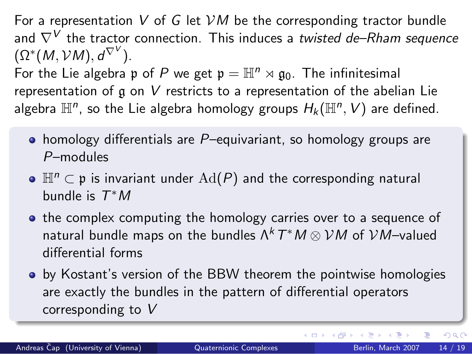For a representation V of G let  $VM$  be the corresponding tractor bundle and  $\nabla^V$  the tractor connection. This induces a twisted de–Rham sequence  $(\Omega^*(M, \mathcal{V}M), d^{\nabla^V}).$ For the Lie algebra p of P we get  $p = \mathbb{H}^n \rtimes q_0$ . The infinitesimal representation of  $\alpha$  on V restricts to a representation of the abelian Lie algebra  $\mathbb{H}^n$ , so the Lie algebra homology groups  $H_k(\mathbb{H}^n, V)$  are defined.

- $\bullet$  homology differentials are P-equivariant, so homology groups are P–modules
- $\bullet$  H<sup>n</sup>  $\subset$  p is invariant under  $\text{Ad}(P)$  and the corresponding natural bundle is  $T^*M$
- the complex computing the homology carries over to a sequence of natural bundle maps on the bundles  $\Lambda^k\, T^\ast M \otimes \mathcal{V} M$  of  $\mathcal{V} M$ –valued differential forms
- **•** by Kostant's version of the BBW theorem the pointwise homologies are exactly the bundles in the pattern of differential operators corresponding to V

 $200$ 

(□) (母)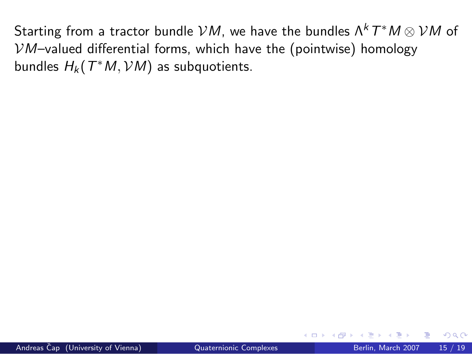Starting from a tractor bundle  ${\cal V} M$ , we have the bundles  $\Lambda^k\,T^\ast M \otimes {\cal V} M$  of  $VM$ –valued differential forms, which have the (pointwise) homology bundles  $H_k(\mathcal{T}^*M,\mathcal{V}M)$  as subquotients.

4 D F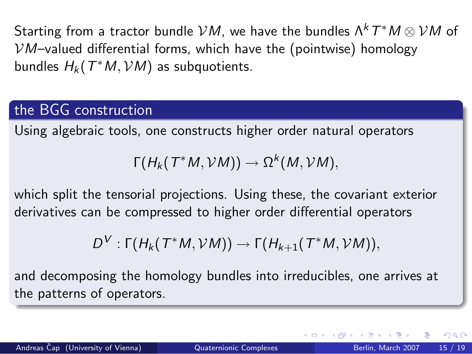Starting from a tractor bundle  ${\cal V} M$ , we have the bundles  $\Lambda^k\,T^\ast M \otimes {\cal V} M$  of  $VM$ –valued differential forms, which have the (pointwise) homology bundles  $H_k(\mathcal{T}^*M,\mathcal{V}M)$  as subquotients.

# the BGG construction

Using algebraic tools, one constructs higher order natural operators

$$
\Gamma(H_k(T^*M,VM))\to \Omega^k(M,VM),
$$

which split the tensorial projections. Using these, the covariant exterior derivatives can be compressed to higher order differential operators

$$
D^V: \Gamma(H_k(T^*M,{\mathcal V} M)) \to \Gamma(H_{k+1}(T^*M,{\mathcal V} M)),
$$

and decomposing the homology bundles into irreducibles, one arrives at the patterns of operators.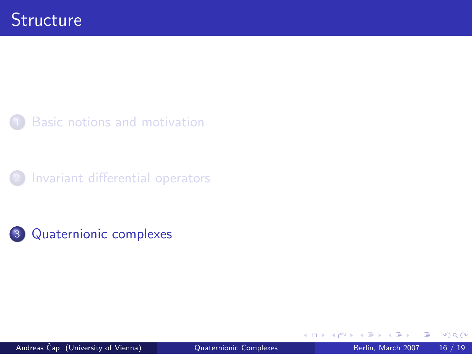

[Invariant differential operators](#page-18-0)



4 0 8

<span id="page-44-0"></span>э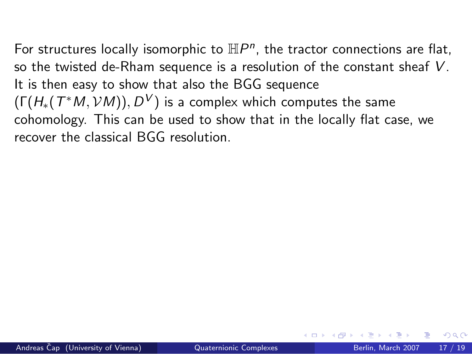For structures locally isomorphic to  $\mathbb{H}P^n$ , the tractor connections are flat, so the twisted de-Rham sequence is a resolution of the constant sheaf V. It is then easy to show that also the BGG sequence  $(\mathsf{\Gamma}(H_*(T^*M,{\mathcal V} M)),D^{\mathcal V})$  is a complex which computes the same cohomology. This can be used to show that in the locally flat case, we recover the classical BGG resolution.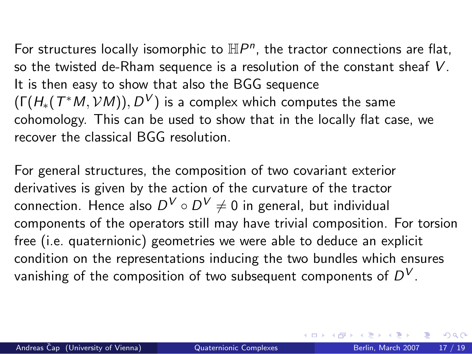For structures locally isomorphic to  $\mathbb{H}P^n$ , the tractor connections are flat, so the twisted de-Rham sequence is a resolution of the constant sheaf V. It is then easy to show that also the BGG sequence  $(\mathsf{\Gamma}(H_*(T^*M,{\mathcal V} M)),D^{\mathcal V})$  is a complex which computes the same cohomology. This can be used to show that in the locally flat case, we recover the classical BGG resolution.

For general structures, the composition of two covariant exterior derivatives is given by the action of the curvature of the tractor connection. Hence also  $D^{\mathcal{V}}\circ D^{\mathcal{V}}\neq 0$  in general, but individual components of the operators still may have trivial composition. For torsion free (i.e. quaternionic) geometries we were able to deduce an explicit condition on the representations inducing the two bundles which ensures vanishing of the composition of two subsequent components of  $D^V.$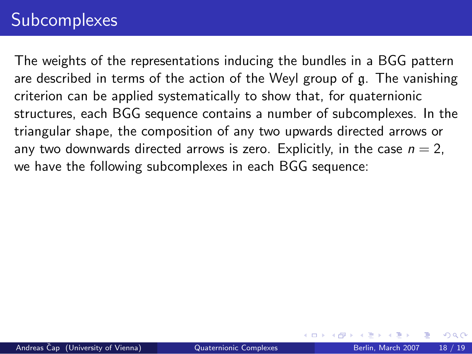# **Subcomplexes**

The weights of the representations inducing the bundles in a BGG pattern are described in terms of the action of the Weyl group of g. The vanishing criterion can be applied systematically to show that, for quaternionic structures, each BGG sequence contains a number of subcomplexes. In the triangular shape, the composition of any two upwards directed arrows or any two downwards directed arrows is zero. Explicitly, in the case  $n = 2$ , we have the following subcomplexes in each BGG sequence: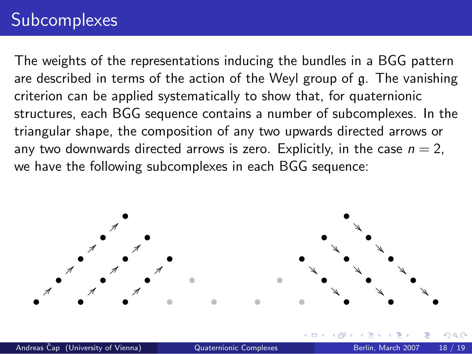# **Subcomplexes**

The weights of the representations inducing the bundles in a BGG pattern are described in terms of the action of the Weyl group of g. The vanishing criterion can be applied systematically to show that, for quaternionic structures, each BGG sequence contains a number of subcomplexes. In the triangular shape, the composition of any two upwards directed arrows or any two downwards directed arrows is zero. Explicitly, in the case  $n = 2$ , we have the following subcomplexes in each BGG sequence:

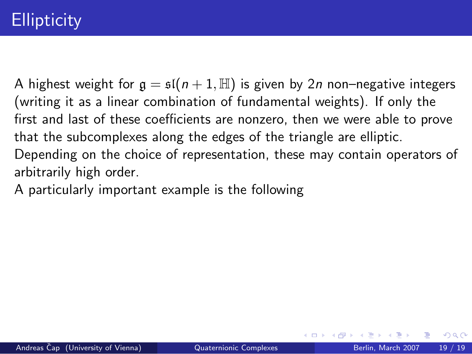A highest weight for  $g = \mathfrak{sl}(n+1,\mathbb{H})$  is given by 2n non-negative integers (writing it as a linear combination of fundamental weights). If only the first and last of these coefficients are nonzero, then we were able to prove that the subcomplexes along the edges of the triangle are elliptic. Depending on the choice of representation, these may contain operators of arbitrarily high order.

A particularly important example is the following